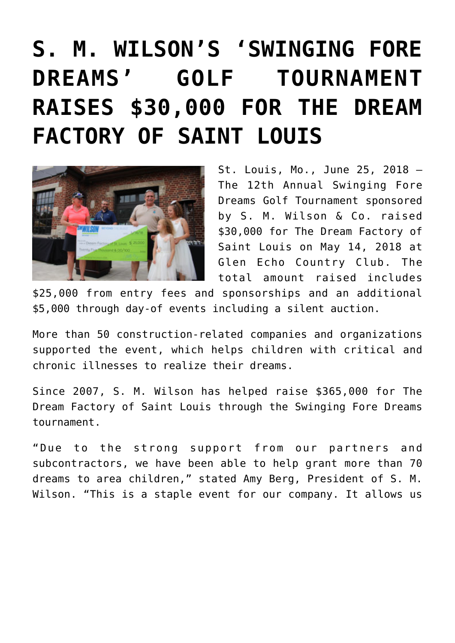## **[S. M. WILSON'S 'SWINGING FORE](https://smwilson.com/press-releases/s-m-wilsons-swinging-fore-dreams-golf-tournament-raises-30000-for-the-dream-factory-of-saint-louis) [DREAMS' GOLF TOURNAMENT](https://smwilson.com/press-releases/s-m-wilsons-swinging-fore-dreams-golf-tournament-raises-30000-for-the-dream-factory-of-saint-louis) [RAISES \\$30,000 FOR THE DREAM](https://smwilson.com/press-releases/s-m-wilsons-swinging-fore-dreams-golf-tournament-raises-30000-for-the-dream-factory-of-saint-louis) [FACTORY OF SAINT LOUIS](https://smwilson.com/press-releases/s-m-wilsons-swinging-fore-dreams-golf-tournament-raises-30000-for-the-dream-factory-of-saint-louis)**



St. Louis, Mo., June 25, 2018 – The 12th Annual Swinging Fore Dreams Golf Tournament sponsored by S. M. Wilson & Co. raised \$30,000 for The Dream Factory of Saint Louis on May 14, 2018 at Glen Echo Country Club. The total amount raised includes

\$25,000 from entry fees and sponsorships and an additional \$5,000 through day-of events including a silent auction.

More than 50 construction-related companies and organizations supported the event, which helps children with critical and chronic illnesses to realize their dreams.

Since 2007, S. M. Wilson has helped raise \$365,000 for The Dream Factory of Saint Louis through the Swinging Fore Dreams tournament.

"Due to the strong support from our partners and subcontractors, we have been able to help grant more than 70 dreams to area children," stated Amy Berg, President of S. M. Wilson. "This is a staple event for our company. It allows us